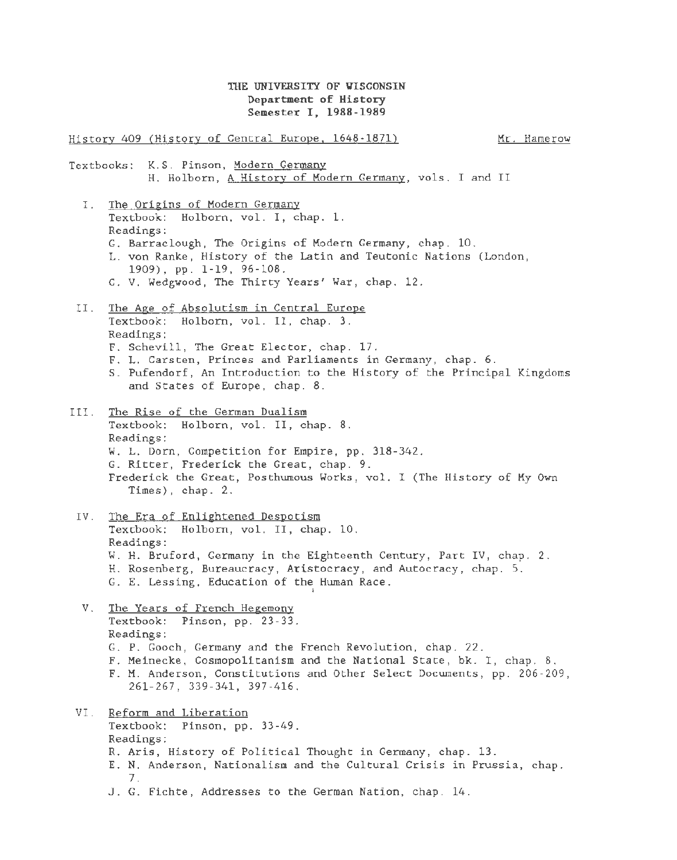## THE UNIVERSITY OF WISCONSIN Department of History Semester I, 1988-1989

History 409 (History of Central Europe. 1648-1871) Textbooks: K.S. Pinson, Modern Germany Mr. Hamerow H. Holborn, A History of Modern Germany, vols. I and II I. The Origins of Modern Germany Textbook: Holborn, vol. I, chap. 1. Readings: G. Barraclough, The Origins of Modern Germany, chap. 10. L. von Ranke, History of the Latin and Teutonic Nations (London, 1909), pp. 1-19, 96-108. C. V. Wedgwood, The Thirty Years' War, chap. 12. II. The Age of Absolutism in Central Europe Textbook: Holborn, vol. II, chap. 3. Readings: F. Schevill, The Great Elector, chap. 17. F. L. Carsten, Princes and Parliaments in Germany, chap. 6. S. Pufendorf, An Introduction to the History of the Principal Kingdoms and States of Europe, chap. 8. III. The Rise of the German Dualism Textbook: Holborn, vol. II, chap. 8. Readings: W. L. Dorn, Competition for Empire, pp. 318-342. G. Ritter, Frederick the Great, chap. 9. Frederick the Great, Posthumous Works, vol. I (The History of My Own Times), chap. 2. IV. The Era of Enlightened Despotism Textbook: Holborn, vol. II, chap. 10. Readings: W. H. Bruford, Germany in the Eighteenth Century, Part IV, chap. 2. H. Rosenberg, Bureaucracy, Aristocracy, and Autocracy, chap. 5. G. E. Lessing, Education of the Human Race. V. The Years of French Hegemony Textbook: Pinson, pp. 23-33. Readings: G. P. Gooch, Germany and the French Revolution, chap. 22. F. Meinecke, Cosmopolitanism and the National State, bk. I, chap. 8. F. M. Anderson, Constitutions and Other Select Documents, pp. 206-209, 261-267, 339-341, 397-416. VI. Reform and Liberation Textbook: Pinson, pp. 33-49. Readings: R. Aris, History of Political Thought in Germany, chap. 13. E. N. Anderson, Nationalism and the Cultural Crisis in Prussia, chap. 7.

J. G. Fichte, Addresses to the German Nation, chap. 14.